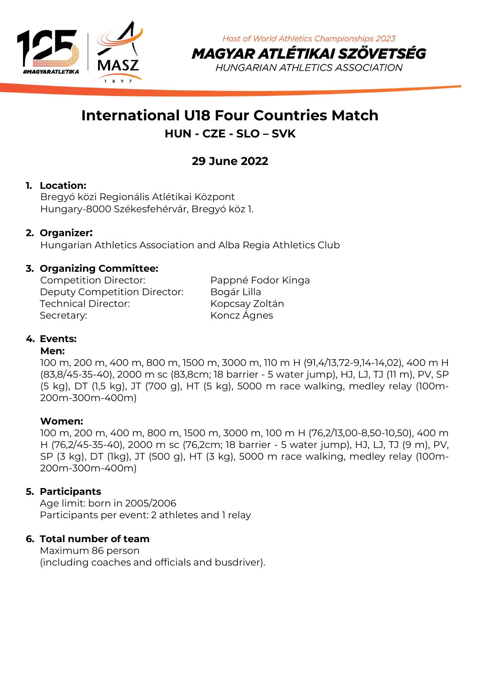

**Host of World Athletics Championships 2023** MAGYAR ATLÉTIKAI SZÖVETSÉG

**HUNGARIAN ATHLETICS ASSOCIATION** 

# **International U18 Four Countries Match HUN - CZE - SLO – SVK**

## **29 June 2022**

## **1. Location:**

Bregyó közi Regionális Atlétikai Központ Hungary-8000 Székesfehérvár, Bregyó köz 1.

## **2. Organizer:**

Hungarian Athletics Association and Alba Regia Athletics Club

### **3. Organizing Committee:**

Competition Director: Pappné Fodor Kinga Deputy Competition Director: Bogár Lilla Technical Director: Kopcsay Zoltán Secretary: Koncz Ágnes

## **4. Events:**

#### **Men:**

100 m, 200 m, 400 m, 800 m, 1500 m, 3000 m, 110 m H (91,4/13,72-9,14-14,02), 400 m H (83,8/45-35-40), 2000 m sc (83,8cm; 18 barrier - 5 water jump), HJ, LJ, TJ (11 m), PV, SP (5 kg), DT (1,5 kg), JT (700 g), HT (5 kg), 5000 m race walking, medley relay (100m-200m-300m-400m)

#### **Women:**

100 m, 200 m, 400 m, 800 m, 1500 m, 3000 m, 100 m H (76,2/13,00-8,50-10,50), 400 m H (76,2/45-35-40), 2000 m sc (76,2cm; 18 barrier - 5 water jump), HJ, LJ, TJ (9 m), PV, SP (3 kg), DT (1kg), JT (500 g), HT (3 kg), 5000 m race walking, medley relay (100m-200m-300m-400m)

#### **5. Participants**

Age limit: born in 2005/2006 Participants per event: 2 athletes and 1 relay

#### **6. Total number of team**

Maximum 86 person (including coaches and officials and busdriver).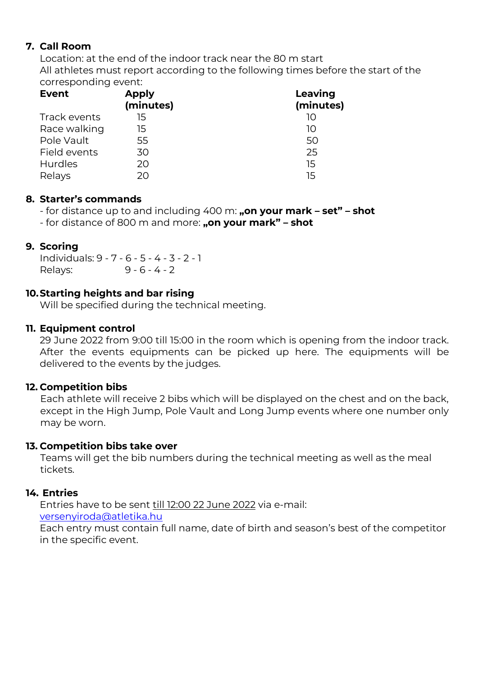## **7. Call Room**

Location: at the end of the indoor track near the 80 m start All athletes must report according to the following times before the start of the corresponding event:

| <b>Event</b> | <b>Apply</b><br>(minutes) | Leaving<br>(minutes) |
|--------------|---------------------------|----------------------|
| Track events | 15                        | 10                   |
| Race walking | 15                        | 10                   |
| Pole Vault   | 55                        | 50                   |
| Field events | 30                        | 25                   |
| Hurdles      | 20                        | 15                   |
| Relays       | 20                        | 15                   |

### **8. Starter's commands**

- for distance up to and including 400 m: **"on your mark – set" – shot**

- for distance of 800 m and more: **"on your mark" – shot**

### **9. Scoring**

Individuals: 9 - 7 - 6 - 5 - 4 - 3 - 2 - 1 Relays: 9 - 6 - 4 - 2

### **10.Starting heights and bar rising**

Will be specified during the technical meeting.

### **11. Equipment control**

29 June 2022 from 9:00 till 15:00 in the room which is opening from the indoor track. After the events equipments can be picked up here. The equipments will be delivered to the events by the judges.

#### **12. Competition bibs**

Each athlete will receive 2 bibs which will be displayed on the chest and on the back, except in the High Jump, Pole Vault and Long Jump events where one number only may be worn.

## **13. Competition bibs take over**

Teams will get the bib numbers during the technical meeting as well as the meal tickets.

#### **14. Entries**

Entries have to be sent till 12:00 22 June 2022 via e-mail:

[versenyiroda@atletika.hu](mailto:versenyiroda@atletika.hu)

Each entry must contain full name, date of birth and season's best of the competitor in the specific event.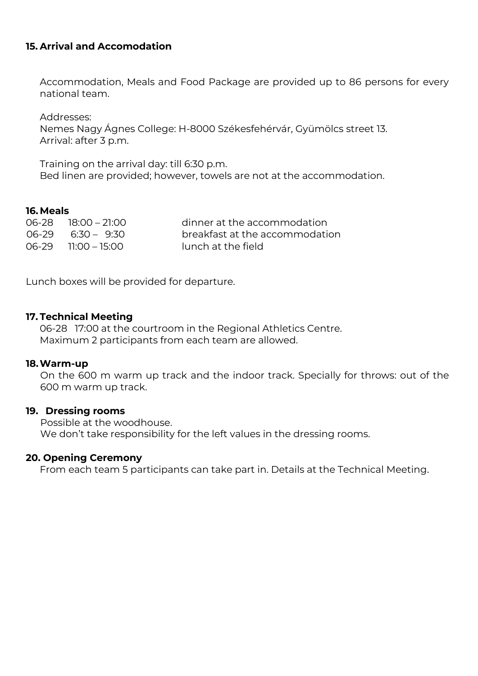#### **15. Arrival and Accomodation**

Accommodation, Meals and Food Package are provided up to 86 persons for every national team.

Addresses: Nemes Nagy Ágnes College: H-8000 Székesfehérvár, Gyümölcs street 13. Arrival: after 3 p.m.

Training on the arrival day: till 6:30 p.m. Bed linen are provided; however, towels are not at the accommodation.

#### **16.Meals**

06-2818:00 – 21:00 dinner at the accommodation breakfast at the accommodation 06-29 11:00 – 15:00 lunch at the field

Lunch boxes will be provided for departure.

#### **17. Technical Meeting**

06-28 17:00 at the courtroom in the Regional Athletics Centre. Maximum 2 participants from each team are allowed.

#### **18.Warm-up**

On the 600 m warm up track and the indoor track. Specially for throws: out of the 600 m warm up track.

#### **19. Dressing rooms**

Possible at the woodhouse. We don't take responsibility for the left values in the dressing rooms.

#### **20. Opening Ceremony**

From each team 5 participants can take part in. Details at the Technical Meeting.